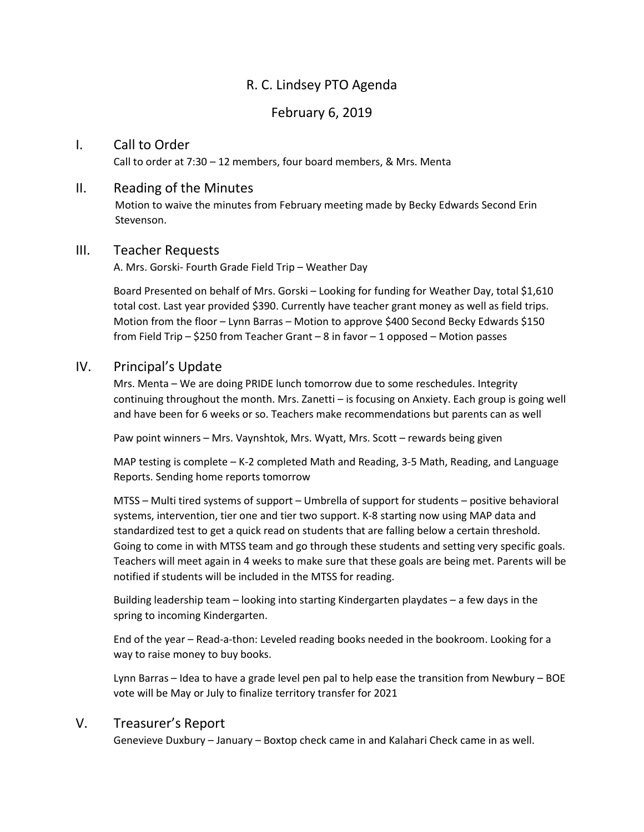# R. C. Lindsey PTO Agenda

### February 6, 2019

#### I. Call to Order

Call to order at 7:30 – 12 members, four board members, & Mrs. Menta

#### II. Reading of the Minutes

 Motion to waive the minutes from February meeting made by Becky Edwards Second Erin Stevenson.

#### III. Teacher Requests

A. Mrs. Gorski- Fourth Grade Field Trip – Weather Day

Board Presented on behalf of Mrs. Gorski – Looking for funding for Weather Day, total \$1,610 total cost. Last year provided \$390. Currently have teacher grant money as well as field trips. Motion from the floor – Lynn Barras – Motion to approve \$400 Second Becky Edwards \$150 from Field Trip – \$250 from Teacher Grant – 8 in favor – 1 opposed – Motion passes

#### IV. Principal's Update

Mrs. Menta – We are doing PRIDE lunch tomorrow due to some reschedules. Integrity continuing throughout the month. Mrs. Zanetti – is focusing on Anxiety. Each group is going well and have been for 6 weeks or so. Teachers make recommendations but parents can as well

Paw point winners – Mrs. Vaynshtok, Mrs. Wyatt, Mrs. Scott – rewards being given

MAP testing is complete – K-2 completed Math and Reading, 3-5 Math, Reading, and Language Reports. Sending home reports tomorrow

MTSS – Multi tired systems of support – Umbrella of support for students – positive behavioral systems, intervention, tier one and tier two support. K-8 starting now using MAP data and standardized test to get a quick read on students that are falling below a certain threshold. Going to come in with MTSS team and go through these students and setting very specific goals. Teachers will meet again in 4 weeks to make sure that these goals are being met. Parents will be notified if students will be included in the MTSS for reading.

Building leadership team – looking into starting Kindergarten playdates – a few days in the spring to incoming Kindergarten.

End of the year – Read-a-thon: Leveled reading books needed in the bookroom. Looking for a way to raise money to buy books.

Lynn Barras – Idea to have a grade level pen pal to help ease the transition from Newbury – BOE vote will be May or July to finalize territory transfer for 2021

### V. Treasurer's Report

Genevieve Duxbury – January – Boxtop check came in and Kalahari Check came in as well.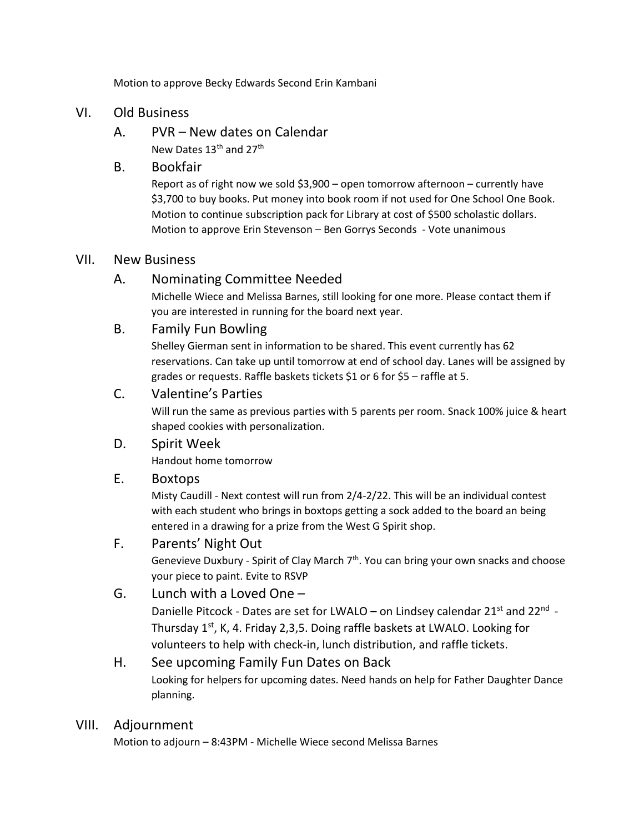Motion to approve Becky Edwards Second Erin Kambani

### VI. Old Business

A. PVR – New dates on Calendar New Dates 13<sup>th</sup> and 27<sup>th</sup>

### B. Bookfair

Report as of right now we sold \$3,900 – open tomorrow afternoon – currently have \$3,700 to buy books. Put money into book room if not used for One School One Book. Motion to continue subscription pack for Library at cost of \$500 scholastic dollars. Motion to approve Erin Stevenson – Ben Gorrys Seconds - Vote unanimous

### VII. New Business

# A. Nominating Committee Needed

Michelle Wiece and Melissa Barnes, still looking for one more. Please contact them if you are interested in running for the board next year.

### B. Family Fun Bowling

Shelley Gierman sent in information to be shared. This event currently has 62 reservations. Can take up until tomorrow at end of school day. Lanes will be assigned by grades or requests. Raffle baskets tickets \$1 or 6 for \$5 – raffle at 5.

# C. Valentine's Parties

Will run the same as previous parties with 5 parents per room. Snack 100% juice & heart shaped cookies with personalization.

# D. Spirit Week

Handout home tomorrow

### E. Boxtops

Misty Caudill - Next contest will run from 2/4-2/22. This will be an individual contest with each student who brings in boxtops getting a sock added to the board an being entered in a drawing for a prize from the West G Spirit shop.

### F. Parents' Night Out

Genevieve Duxbury - Spirit of Clay March  $7<sup>th</sup>$ . You can bring your own snacks and choose your piece to paint. Evite to RSVP

# G. Lunch with a Loved One –

Danielle Pitcock - Dates are set for LWALO – on Lindsey calendar 21<sup>st</sup> and 22<sup>nd</sup> -Thursday 1<sup>st</sup>, K, 4. Friday 2,3,5. Doing raffle baskets at LWALO. Looking for volunteers to help with check-in, lunch distribution, and raffle tickets.

# H. See upcoming Family Fun Dates on Back Looking for helpers for upcoming dates. Need hands on help for Father Daughter Dance planning.

# VIII. Adjournment

Motion to adjourn – 8:43PM - Michelle Wiece second Melissa Barnes